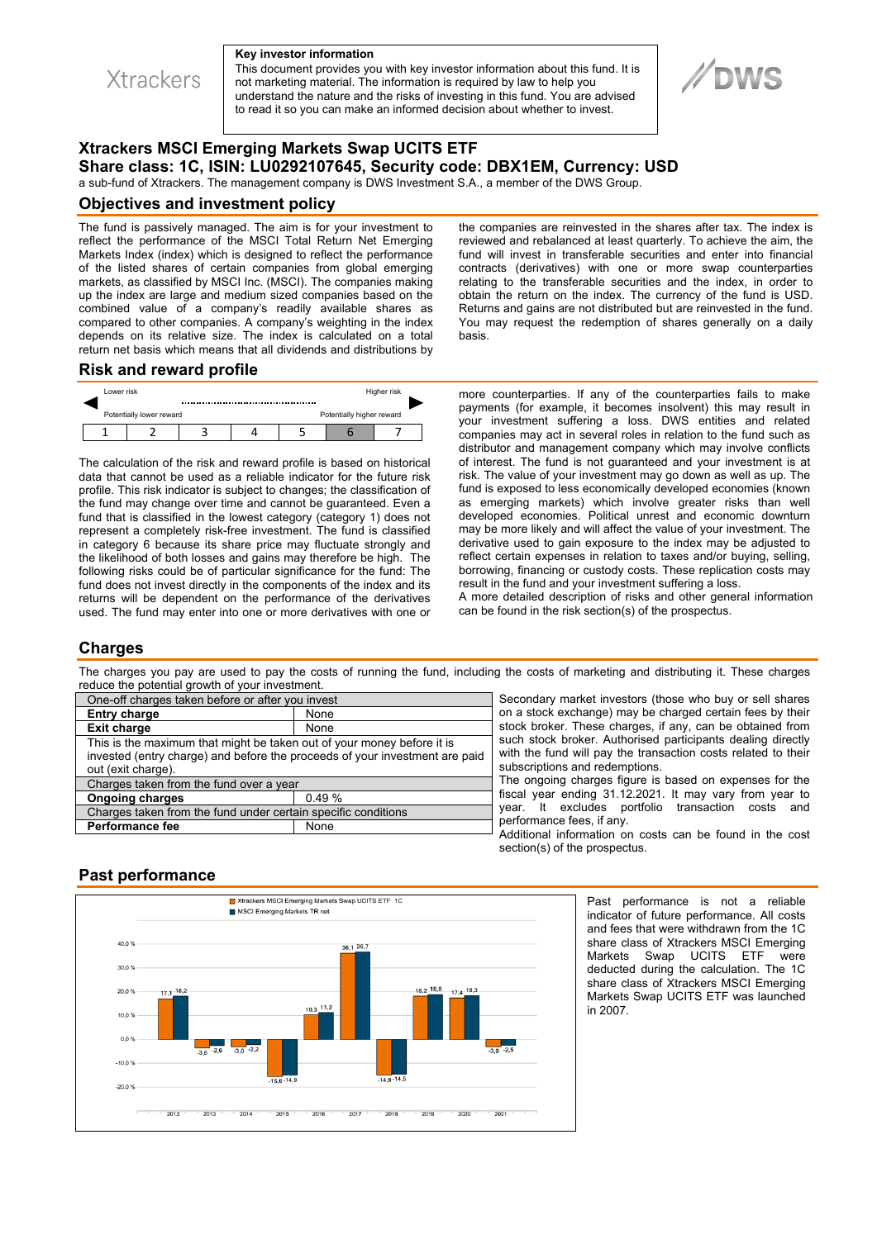

**Xtrackers** 

This document provides you with key investor information about this fund. It is not marketing material. The information is required by law to help you understand the nature and the risks of investing in this fund. You are advised to read it so you can make an informed decision about whether to invest.

# **Xtrackers MSCI Emerging Markets Swap UCITS ETF Share class: 1C, ISIN: LU0292107645, Security code: DBX1EM, Currency: USD**

a sub-fund of Xtrackers. The management company is DWS Investment S.A., a member of the DWS Group.

#### **Objectives and investment policy**

The fund is passively managed. The aim is for your investment to reflect the performance of the MSCI Total Return Net Emerging Markets Index (index) which is designed to reflect the performance of the listed shares of certain companies from global emerging markets, as classified by MSCI Inc. (MSCI). The companies making up the index are large and medium sized companies based on the combined value of a company's readily available shares as compared to other companies. A company's weighting in the index depends on its relative size. The index is calculated on a total return net basis which means that all dividends and distributions by

the companies are reinvested in the shares after tax. The index is reviewed and rebalanced at least quarterly. To achieve the aim, the fund will invest in transferable securities and enter into financial contracts (derivatives) with one or more swap counterparties relating to the transferable securities and the index, in order to obtain the return on the index. The currency of the fund is USD. Returns and gains are not distributed but are reinvested in the fund. You may request the redemption of shares generally on a daily basis.

**DWS** 

## **Risk and reward profile**



The calculation of the risk and reward profile is based on historical data that cannot be used as a reliable indicator for the future risk profile. This risk indicator is subject to changes; the classification of the fund may change over time and cannot be guaranteed. Even a fund that is classified in the lowest category (category 1) does not represent a completely risk-free investment. The fund is classified in category 6 because its share price may fluctuate strongly and the likelihood of both losses and gains may therefore be high. The following risks could be of particular significance for the fund: The fund does not invest directly in the components of the index and its returns will be dependent on the performance of the derivatives used. The fund may enter into one or more derivatives with one or

more counterparties. If any of the counterparties fails to make payments (for example, it becomes insolvent) this may result in your investment suffering a loss. DWS entities and related companies may act in several roles in relation to the fund such as distributor and management company which may involve conflicts of interest. The fund is not guaranteed and your investment is at risk. The value of your investment may go down as well as up. The fund is exposed to less economically developed economies (known as emerging markets) which involve greater risks than well developed economies. Political unrest and economic downturn may be more likely and will affect the value of your investment. The derivative used to gain exposure to the index may be adjusted to reflect certain expenses in relation to taxes and/or buying, selling, borrowing, financing or custody costs. These replication costs may result in the fund and your investment suffering a loss.

A more detailed description of risks and other general information can be found in the risk section(s) of the prospectus.

## **Charges**

The charges you pay are used to pay the costs of running the fund, including the costs of marketing and distributing it. These charges reduce the potential growth of your investment.

| One-off charges taken before or after you invest                                                                                                                            |       |
|-----------------------------------------------------------------------------------------------------------------------------------------------------------------------------|-------|
| <b>Entry charge</b>                                                                                                                                                         | None  |
| <b>Exit charge</b>                                                                                                                                                          | None  |
| This is the maximum that might be taken out of your money before it is<br>invested (entry charge) and before the proceeds of your investment are paid<br>out (exit charge). |       |
| Charges taken from the fund over a year                                                                                                                                     |       |
| <b>Ongoing charges</b>                                                                                                                                                      | 0.49% |
| Charges taken from the fund under certain specific conditions                                                                                                               |       |
| <b>Performance fee</b>                                                                                                                                                      | None  |

Secondary market investors (those who buy or sell shares on a stock exchange) may be charged certain fees by their stock broker. These charges, if any, can be obtained from such stock broker. Authorised participants dealing directly with the fund will pay the transaction costs related to their subscriptions and redemptions.

The ongoing charges figure is based on expenses for the fiscal year ending 31.12.2021. It may vary from year to year. It excludes portfolio transaction costs and performance fees, if any.

Additional information on costs can be found in the cost section(s) of the prospectus.

## **Past performance**



Past performance is not a reliable indicator of future performance. All costs and fees that were withdrawn from the 1C share class of Xtrackers MSCI Emerging Markets Swap UCITS ETF were deducted during the calculation. The 1C share class of Xtrackers MSCI Emerging Markets Swap UCITS ETF was launched in 2007.